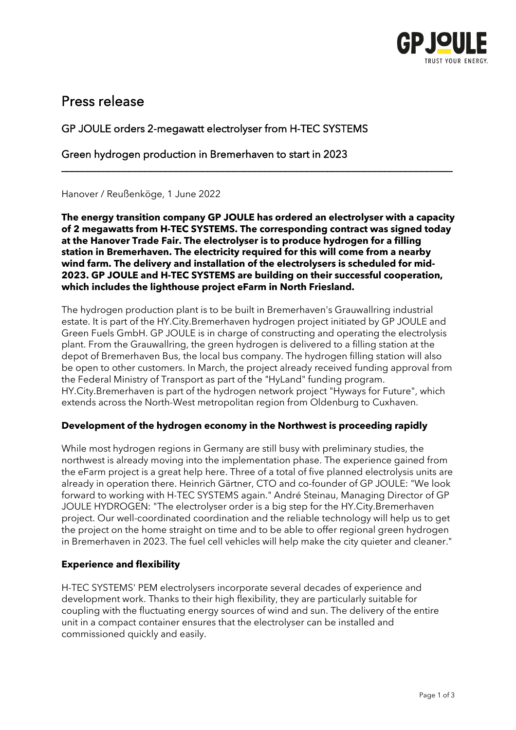

# Press release

## GP JOULE orders 2-megawatt electrolyser from H-TEC SYSTEMS

Green hydrogen production in Bremerhaven to start in 2023

Hanover / Reußenköge, 1 June 2022

**The energy transition company GP JOULE has ordered an electrolyser with a capacity of 2 megawatts from H-TEC SYSTEMS. The corresponding contract was signed today at the Hanover Trade Fair. The electrolyser is to produce hydrogen for a filling station in Bremerhaven. The electricity required for this will come from a nearby wind farm. The delivery and installation of the electrolysers is scheduled for mid-2023. GP JOULE and H-TEC SYSTEMS are building on their successful cooperation, which includes the lighthouse project eFarm in North Friesland.** 

\_\_\_\_\_\_\_\_\_\_\_\_\_\_\_\_\_\_\_\_\_\_\_\_\_\_\_\_\_\_\_\_\_\_\_\_\_\_\_\_\_\_\_\_\_\_\_\_\_\_\_\_\_\_\_\_\_\_\_\_\_\_\_\_\_\_\_\_\_\_\_\_\_\_\_

The hydrogen production plant is to be built in Bremerhaven's Grauwallring industrial estate. It is part of the HY.City.Bremerhaven hydrogen project initiated by GP JOULE and Green Fuels GmbH. GP JOULE is in charge of constructing and operating the electrolysis plant. From the Grauwallring, the green hydrogen is delivered to a filling station at the depot of Bremerhaven Bus, the local bus company. The hydrogen filling station will also be open to other customers. In March, the project already received funding approval from the Federal Ministry of Transport as part of the "HyLand" funding program. HY.City.Bremerhaven is part of the hydrogen network project "Hyways for Future", which extends across the North-West metropolitan region from Oldenburg to Cuxhaven.

#### **Development of the hydrogen economy in the Northwest is proceeding rapidly**

While most hydrogen regions in Germany are still busy with preliminary studies, the northwest is already moving into the implementation phase. The experience gained from the eFarm project is a great help here. Three of a total of five planned electrolysis units are already in operation there. Heinrich Gärtner, CTO and co-founder of GP JOULE: "We look forward to working with H-TEC SYSTEMS again." André Steinau, Managing Director of GP JOULE HYDROGEN: "The electrolyser order is a big step for the HY.City.Bremerhaven project. Our well-coordinated coordination and the reliable technology will help us to get the project on the home straight on time and to be able to offer regional green hydrogen in Bremerhaven in 2023. The fuel cell vehicles will help make the city quieter and cleaner."

### **Experience and flexibility**

H-TEC SYSTEMS' PEM electrolysers incorporate several decades of experience and development work. Thanks to their high flexibility, they are particularly suitable for coupling with the fluctuating energy sources of wind and sun. The delivery of the entire unit in a compact container ensures that the electrolyser can be installed and commissioned quickly and easily.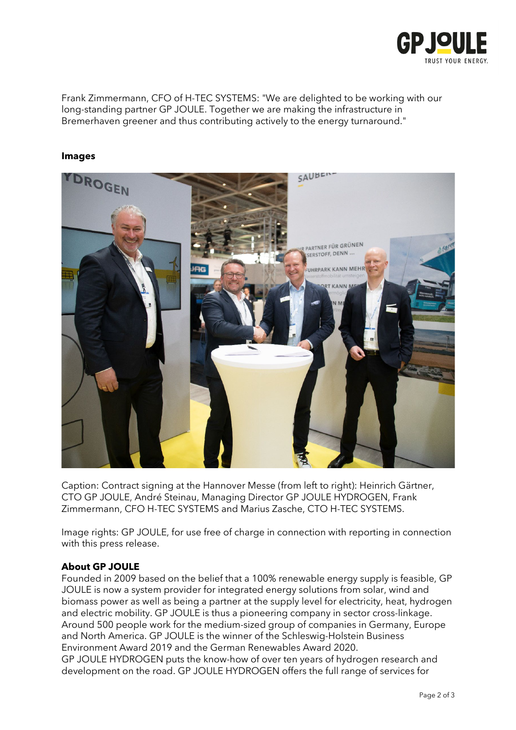

Frank Zimmermann, CFO of H-TEC SYSTEMS: "We are delighted to be working with our long-standing partner GP JOULE. Together we are making the infrastructure in Bremerhaven greener and thus contributing actively to the energy turnaround."

#### **Images**



Caption: Contract signing at the Hannover Messe (from left to right): Heinrich Gärtner, CTO GP JOULE, André Steinau, Managing Director GP JOULE HYDROGEN, Frank Zimmermann, CFO H-TEC SYSTEMS and Marius Zasche, CTO H-TEC SYSTEMS.

Image rights: GP JOULE, for use free of charge in connection with reporting in connection with this press release.

#### **About GP JOULE**

Founded in 2009 based on the belief that a 100% renewable energy supply is feasible, GP JOULE is now a system provider for integrated energy solutions from solar, wind and biomass power as well as being a partner at the supply level for electricity, heat, hydrogen and electric mobility. GP JOULE is thus a pioneering company in sector cross-linkage. Around 500 people work for the medium-sized group of companies in Germany, Europe and North America. GP JOULE is the winner of the Schleswig-Holstein Business Environment Award 2019 and the German Renewables Award 2020.

GP JOULE HYDROGEN puts the know-how of over ten years of hydrogen research and development on the road. GP JOULE HYDROGEN offers the full range of services for